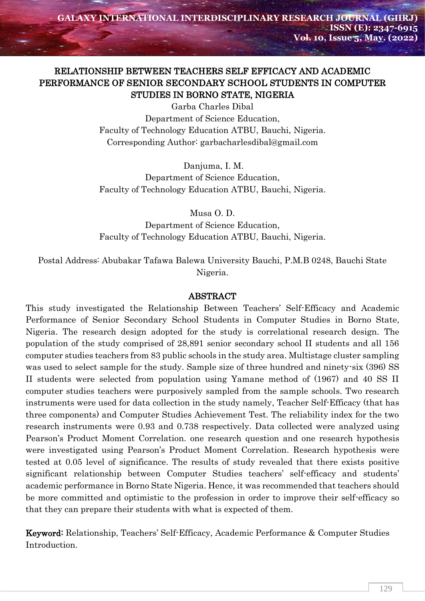# RELATIONSHIP BETWEEN TEACHERS SELF EFFICACY AND ACADEMIC PERFORMANCE OF SENIOR SECONDARY SCHOOL STUDENTS IN COMPUTER STUDIES IN BORNO STATE, NIGERIA

Garba Charles Dibal Department of Science Education, Faculty of Technology Education ATBU, Bauchi, Nigeria. Corresponding Author: garbacharlesdibal@gmail.com

Danjuma, I. M.

Department of Science Education, Faculty of Technology Education ATBU, Bauchi, Nigeria.

Musa O. D.

Department of Science Education, Faculty of Technology Education ATBU, Bauchi, Nigeria.

Postal Address: Abubakar Tafawa Balewa University Bauchi, P.M.B 0248, Bauchi State Nigeria.

#### ABSTRACT

This study investigated the Relationship Between Teachers' Self-Efficacy and Academic Performance of Senior Secondary School Students in Computer Studies in Borno State, Nigeria. The research design adopted for the study is correlational research design. The population of the study comprised of 28,891 senior secondary school II students and all 156 computer studies teachers from 83 public schools in the study area. Multistage cluster sampling was used to select sample for the study. Sample size of three hundred and ninety-six (396) SS II students were selected from population using Yamane method of (1967) and 40 SS II computer studies teachers were purposively sampled from the sample schools. Two research instruments were used for data collection in the study namely, Teacher Self-Efficacy (that has three components) and Computer Studies Achievement Test. The reliability index for the two research instruments were 0.93 and 0.738 respectively. Data collected were analyzed using Pearson's Product Moment Correlation. one research question and one research hypothesis were investigated using Pearson's Product Moment Correlation. Research hypothesis were tested at 0.05 level of significance. The results of study revealed that there exists positive significant relationship between Computer Studies teachers' self-efficacy and students' academic performance in Borno State Nigeria. Hence, it was recommended that teachers should be more committed and optimistic to the profession in order to improve their self-efficacy so that they can prepare their students with what is expected of them.

Keyword: Relationship, Teachers' Self-Efficacy, Academic Performance & Computer Studies Introduction.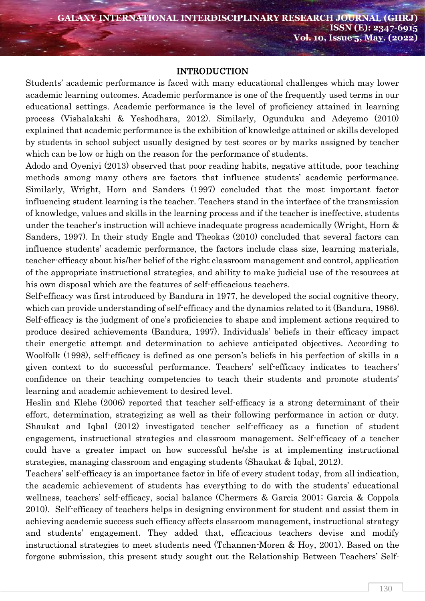#### INTRODUCTION

Students' academic performance is faced with many educational challenges which may lower academic learning outcomes. Academic performance is one of the frequently used terms in our educational settings. Academic performance is the level of proficiency attained in learning process (Vishalakshi & Yeshodhara, 2012). Similarly, Ogunduku and Adeyemo (2010) explained that academic performance is the exhibition of knowledge attained or skills developed by students in school subject usually designed by test scores or by marks assigned by teacher which can be low or high on the reason for the performance of students.

Adodo and Oyeniyi (2013) observed that poor reading habits, negative attitude, poor teaching methods among many others are factors that influence students' academic performance. Similarly, Wright, Horn and Sanders (1997) concluded that the most important factor influencing student learning is the teacher. Teachers stand in the interface of the transmission of knowledge, values and skills in the learning process and if the teacher is ineffective, students under the teacher's instruction will achieve inadequate progress academically (Wright, Horn & Sanders, 1997). In their study Engle and Theokas (2010) concluded that several factors can influence students' academic performance, the factors include class size, learning materials, teacher-efficacy about his/her belief of the right classroom management and control, application of the appropriate instructional strategies, and ability to make judicial use of the resources at his own disposal which are the features of self-efficacious teachers.

Self-efficacy was first introduced by Bandura in 1977, he developed the social cognitive theory, which can provide understanding of self-efficacy and the dynamics related to it (Bandura, 1986). Self-efficacy is the judgment of one's proficiencies to shape and implement actions required to produce desired achievements (Bandura, 1997). Individuals' beliefs in their efficacy impact their energetic attempt and determination to achieve anticipated objectives. According to Woolfolk (1998), self-efficacy is defined as one person's beliefs in his perfection of skills in a given context to do successful performance. Teachers' self-efficacy indicates to teachers' confidence on their teaching competencies to teach their students and promote students' learning and academic achievement to desired level.

Heslin and Klehe (2006) reported that teacher self-efficacy is a strong determinant of their effort, determination, strategizing as well as their following performance in action or duty. Shaukat and Iqbal (2012) investigated teacher self-efficacy as a function of student engagement, instructional strategies and classroom management. Self-efficacy of a teacher could have a greater impact on how successful he/she is at implementing instructional strategies, managing classroom and engaging students (Shaukat & Iqbal, 2012).

Teachers' self-efficacy is an importance factor in life of every student today, from all indication, the academic achievement of students has everything to do with the students' educational wellness, teachers' self-efficacy, social balance (Chermers & Garcia 2001; Garcia & Coppola 2010). Self-efficacy of teachers helps in designing environment for student and assist them in achieving academic success such efficacy affects classroom management, instructional strategy and students' engagement. They added that, efficacious teachers devise and modify instructional strategies to meet students need (Tchannen-Moren & Hoy, 2001). Based on the forgone submission, this present study sought out the Relationship Between Teachers' Self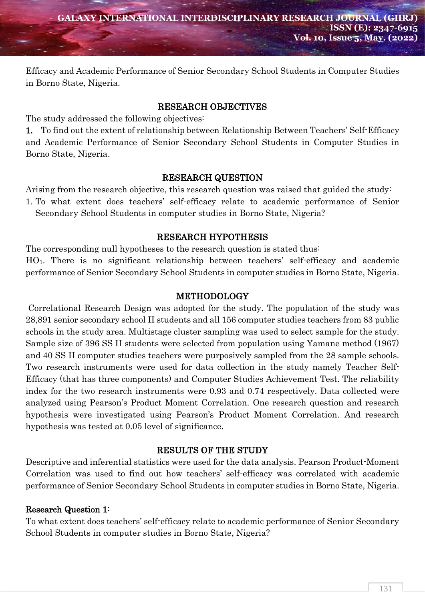Efficacy and Academic Performance of Senior Secondary School Students in Computer Studies in Borno State, Nigeria.

#### RESEARCH OBJECTIVES

The study addressed the following objectives:

1. To find out the extent of relationship between Relationship Between Teachers' Self-Efficacy and Academic Performance of Senior Secondary School Students in Computer Studies in Borno State, Nigeria.

#### RESEARCH QUESTION

Arising from the research objective, this research question was raised that guided the study: 1. To what extent does teachers' self-efficacy relate to academic performance of Senior Secondary School Students in computer studies in Borno State, Nigeria?

# RESEARCH HYPOTHESIS

The corresponding null hypotheses to the research question is stated thus:

HO1. There is no significant relationship between teachers' self-efficacy and academic performance of Senior Secondary School Students in computer studies in Borno State, Nigeria.

# METHODOLOGY

 Correlational Research Design was adopted for the study. The population of the study was 28,891 senior secondary school II students and all 156 computer studies teachers from 83 public schools in the study area. Multistage cluster sampling was used to select sample for the study. Sample size of 396 SS II students were selected from population using Yamane method (1967) and 40 SS II computer studies teachers were purposively sampled from the 28 sample schools. Two research instruments were used for data collection in the study namely Teacher Self-Efficacy (that has three components) and Computer Studies Achievement Test. The reliability index for the two research instruments were 0.93 and 0.74 respectively. Data collected were analyzed using Pearson's Product Moment Correlation. One research question and research hypothesis were investigated using Pearson's Product Moment Correlation. And research hypothesis was tested at 0.05 level of significance.

# RESULTS OF THE STUDY

Descriptive and inferential statistics were used for the data analysis. Pearson Product-Moment Correlation was used to find out how teachers' self-efficacy was correlated with academic performance of Senior Secondary School Students in computer studies in Borno State, Nigeria.

# Research Question 1:

To what extent does teachers' self-efficacy relate to academic performance of Senior Secondary School Students in computer studies in Borno State, Nigeria?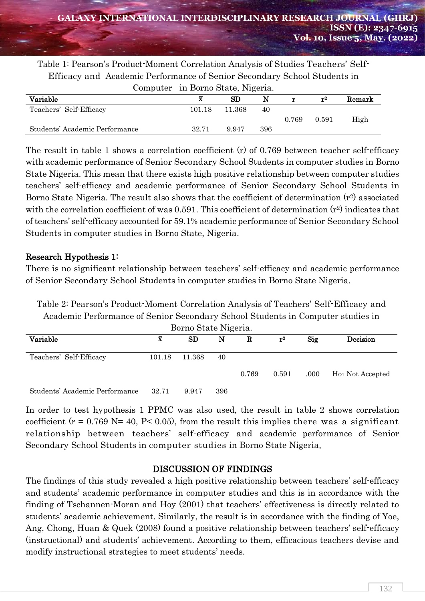| Jariahle<br>т2                                                                    | Remark |  |  |  |  |  |  |  |
|-----------------------------------------------------------------------------------|--------|--|--|--|--|--|--|--|
| Computer in Borno State, Nigeria.                                                 |        |  |  |  |  |  |  |  |
| Efficacy and Academic Performance of Senior Secondary School Students in          |        |  |  |  |  |  |  |  |
| Table 1: Pearson's Product-Moment Correlation Analysis of Studies Teachers' Self- |        |  |  |  |  |  |  |  |

| Variable                       | X      | $_{\rm SD}$ | N   |       | т2    | Remark |  |
|--------------------------------|--------|-------------|-----|-------|-------|--------|--|
| Teachers' Self-Efficacy        | 101.18 | 11.368      | 40  |       |       |        |  |
|                                |        |             |     | 0.769 | 0.591 | High   |  |
| Students' Academic Performance | 32.71  | 9.947       | 396 |       |       |        |  |

The result in table 1 shows a correlation coefficient (r) of 0.769 between teacher self-efficacy with academic performance of Senior Secondary School Students in computer studies in Borno State Nigeria. This mean that there exists high positive relationship between computer studies teachers' self-efficacy and academic performance of Senior Secondary School Students in Borno State Nigeria. The result also shows that the coefficient of determination  $(r^2)$  associated with the correlation coefficient of was 0.591. This coefficient of determination  $(r^2)$  indicates that of teachers' self-efficacy accounted for 59.1% academic performance of Senior Secondary School Students in computer studies in Borno State, Nigeria.

# Research Hypothesis 1:

There is no significant relationship between teachers' self-efficacy and academic performance of Senior Secondary School Students in computer studies in Borno State Nigeria.

Table 2: Pearson's Product-Moment Correlation Analysis of Teachers' Self-Efficacy and Academic Performance of Senior Secondary School Students in Computer studies in

| Borno State Nigeria.           |             |        |     |       |             |       |                              |  |
|--------------------------------|-------------|--------|-----|-------|-------------|-------|------------------------------|--|
| Variable                       | $\mathbf x$ | SD     | N   | R     | ${\bf r}^2$ | Sig   | Decision                     |  |
| Teachers' Self-Efficacy        | 101.18      | 11.368 | 40  |       |             |       |                              |  |
|                                |             |        |     | 0.769 | 0.591       | .000. | H <sub>01</sub> Not Accepted |  |
| Students' Academic Performance | 32.71       | 9.947  | 396 |       |             |       |                              |  |

In order to test hypothesis 1 PPMC was also used, the result in table 2 shows correlation coefficient ( $r = 0.769$  N= 40, P< 0.05), from the result this implies there was a significant relationship between teachers' self-efficacy and academic performance of Senior Secondary School Students in computer studies in Borno State Nigeria.

# DISCUSSION OF FINDINGS

The findings of this study revealed a high positive relationship between teachers' self-efficacy and students' academic performance in computer studies and this is in accordance with the finding of Tschannen-Moran and Hoy (2001) that teachers' effectiveness is directly related to students' academic achievement. Similarly, the result is in accordance with the finding of Yoe, Ang, Chong, Huan & Quek (2008) found a positive relationship between teachers' self-efficacy (instructional) and students' achievement. According to them, efficacious teachers devise and modify instructional strategies to meet students' needs.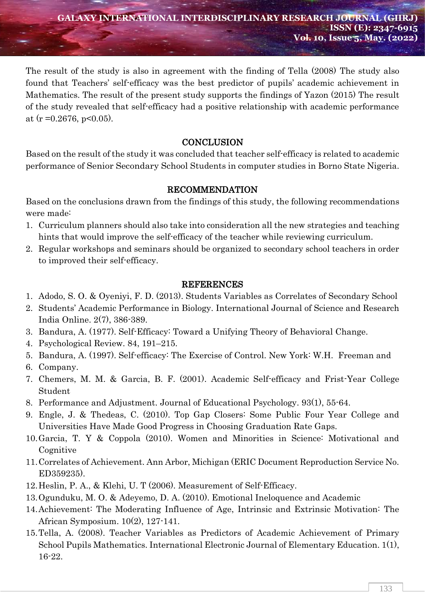The result of the study is also in agreement with the finding of Tella (2008) The study also found that Teachers' self-efficacy was the best predictor of pupils' academic achievement in Mathematics. The result of the present study supports the findings of Yazon (2015) The result of the study revealed that self-efficacy had a positive relationship with academic performance at (r = 0.2676, p < 0.05).

# **CONCLUSION**

Based on the result of the study it was concluded that teacher self-efficacy is related to academic performance of Senior Secondary School Students in computer studies in Borno State Nigeria.

# RECOMMENDATION

Based on the conclusions drawn from the findings of this study, the following recommendations were made:

- 1. Curriculum planners should also take into consideration all the new strategies and teaching hints that would improve the self-efficacy of the teacher while reviewing curriculum.
- 2. Regular workshops and seminars should be organized to secondary school teachers in order to improved their self-efficacy.

#### REFERENCES

- 1. Adodo, S. O. & Oyeniyi, F. D. (2013). Students Variables as Correlates of Secondary School
- 2. Students' Academic Performance in Biology. International Journal of Science and Research India Online. 2(7), 386-389.
- 3. Bandura, A. (1977). Self-Efficacy: Toward a Unifying Theory of Behavioral Change.
- 4. Psychological Review. 84, 191–215.
- 5. Bandura, A. (1997). Self-efficacy: The Exercise of Control. New York: W.H. Freeman and
- 6. Company.
- 7. Chemers, M. M. & Garcia, B. F. (2001). Academic Self-efficacy and Frist-Year College Student
- 8. Performance and Adjustment. Journal of Educational Psychology. 93(1), 55-64.
- 9. Engle, J. & Thedeas, C. (2010). Top Gap Closers: Some Public Four Year College and Universities Have Made Good Progress in Choosing Graduation Rate Gaps.
- 10.Garcia, T. Y & Coppola (2010). Women and Minorities in Science: Motivational and **Cognitive**
- 11.Correlates of Achievement. Ann Arbor, Michigan (ERIC Document Reproduction Service No. ED359235).
- 12.Heslin, P. A., & Klehi, U. T (2006). Measurement of Self-Efficacy.
- 13.Ogunduku, M. O. & Adeyemo, D. A. (2010). Emotional Ineloquence and Academic
- 14.Achievement: The Moderating Influence of Age, Intrinsic and Extrinsic Motivation: The African Symposium. 10(2), 127-141.
- 15.Tella, A. (2008). Teacher Variables as Predictors of Academic Achievement of Primary School Pupils Mathematics. International Electronic Journal of Elementary Education. 1(1), 16-22.